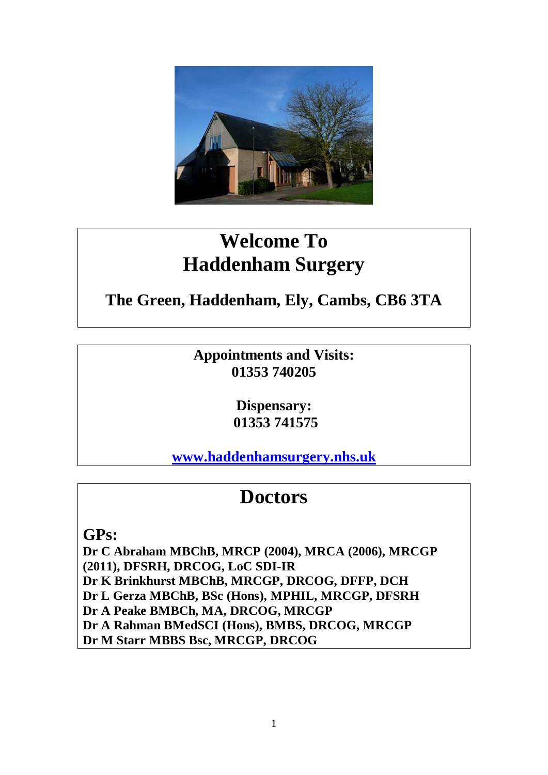

# **Welcome To Haddenham Surgery**

# **The Green, Haddenham, Ely, Cambs, CB6 3TA**

**Appointments and Visits: 01353 740205**

> **Dispensary: 01353 741575**

**[www.haddenhamsurgery.nhs.uk](http://www.haddenhamsurgery.nhs.uk/)**

# **Doctors**

**GPs:**

**Dr C Abraham MBChB, MRCP (2004), MRCA (2006), MRCGP (2011), DFSRH, DRCOG, LoC SDI-IR Dr K Brinkhurst MBChB, MRCGP, DRCOG, DFFP, DCH Dr L Gerza MBChB, BSc (Hons), MPHIL, MRCGP, DFSRH Dr A Peake BMBCh, MA, DRCOG, MRCGP Dr A Rahman BMedSCI (Hons), BMBS, DRCOG, MRCGP Dr M Starr MBBS Bsc, MRCGP, DRCOG**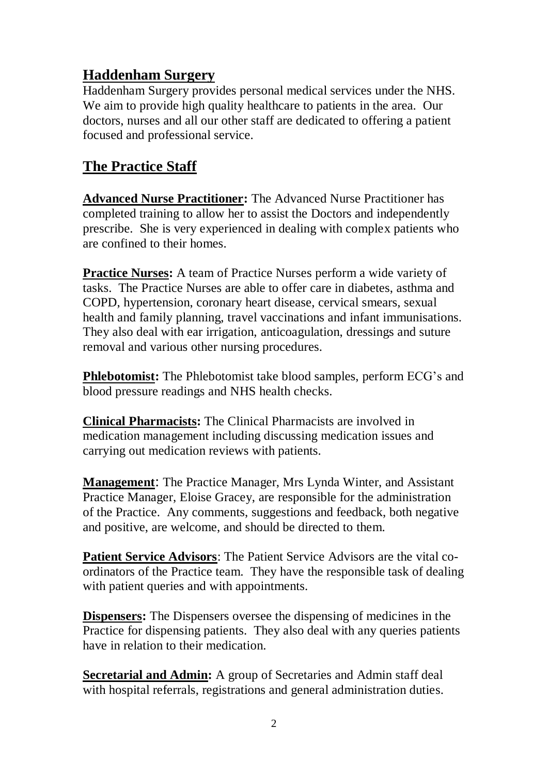# **Haddenham Surgery**

Haddenham Surgery provides personal medical services under the NHS. We aim to provide high quality healthcare to patients in the area. Our doctors, nurses and all our other staff are dedicated to offering a patient focused and professional service.

# **The Practice Staff**

**Advanced Nurse Practitioner:** The Advanced Nurse Practitioner has completed training to allow her to assist the Doctors and independently prescribe. She is very experienced in dealing with complex patients who are confined to their homes.

**Practice Nurses:** A team of Practice Nurses perform a wide variety of tasks. The Practice Nurses are able to offer care in diabetes, asthma and COPD, hypertension, coronary heart disease, cervical smears, sexual health and family planning, travel vaccinations and infant immunisations. They also deal with ear irrigation, anticoagulation, dressings and suture removal and various other nursing procedures.

**Phlebotomist:** The Phlebotomist take blood samples, perform ECG's and blood pressure readings and NHS health checks.

**Clinical Pharmacists:** The Clinical Pharmacists are involved in medication management including discussing medication issues and carrying out medication reviews with patients.

**Management**: The Practice Manager, Mrs Lynda Winter, and Assistant Practice Manager, Eloise Gracey, are responsible for the administration of the Practice. Any comments, suggestions and feedback, both negative and positive, are welcome, and should be directed to them.

**Patient Service Advisors**: The Patient Service Advisors are the vital coordinators of the Practice team. They have the responsible task of dealing with patient queries and with appointments.

**Dispensers:** The Dispensers oversee the dispensing of medicines in the Practice for dispensing patients. They also deal with any queries patients have in relation to their medication.

**Secretarial and Admin:** A group of Secretaries and Admin staff deal with hospital referrals, registrations and general administration duties.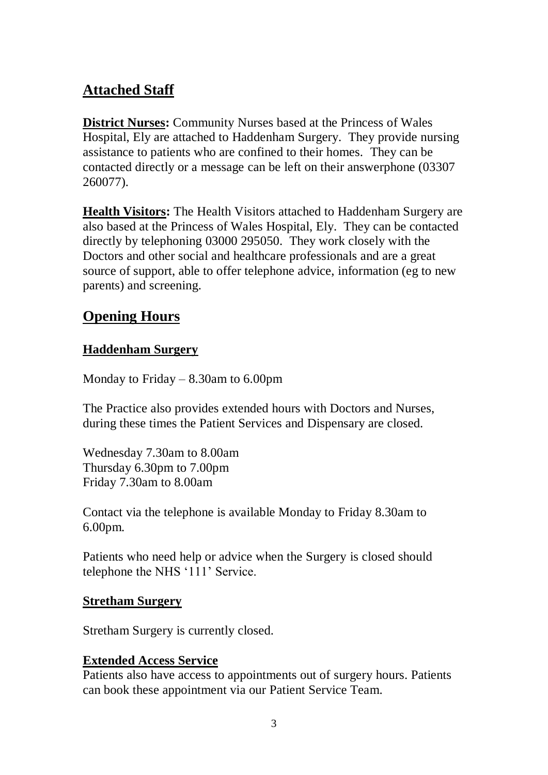# **Attached Staff**

**District Nurses:** Community Nurses based at the Princess of Wales Hospital, Ely are attached to Haddenham Surgery. They provide nursing assistance to patients who are confined to their homes. They can be contacted directly or a message can be left on their answerphone (03307 260077).

**Health Visitors:** The Health Visitors attached to Haddenham Surgery are also based at the Princess of Wales Hospital, Ely. They can be contacted directly by telephoning 03000 295050. They work closely with the Doctors and other social and healthcare professionals and are a great source of support, able to offer telephone advice, information (eg to new parents) and screening.

# **Opening Hours**

## **Haddenham Surgery**

Monday to Friday – 8.30am to 6.00pm

The Practice also provides extended hours with Doctors and Nurses, during these times the Patient Services and Dispensary are closed.

Wednesday 7.30am to 8.00am Thursday 6.30pm to 7.00pm Friday 7.30am to 8.00am

Contact via the telephone is available Monday to Friday 8.30am to 6.00pm.

Patients who need help or advice when the Surgery is closed should telephone the NHS '111' Service.

#### **Stretham Surgery**

Stretham Surgery is currently closed.

# **Extended Access Service**

Patients also have access to appointments out of surgery hours. Patients can book these appointment via our Patient Service Team.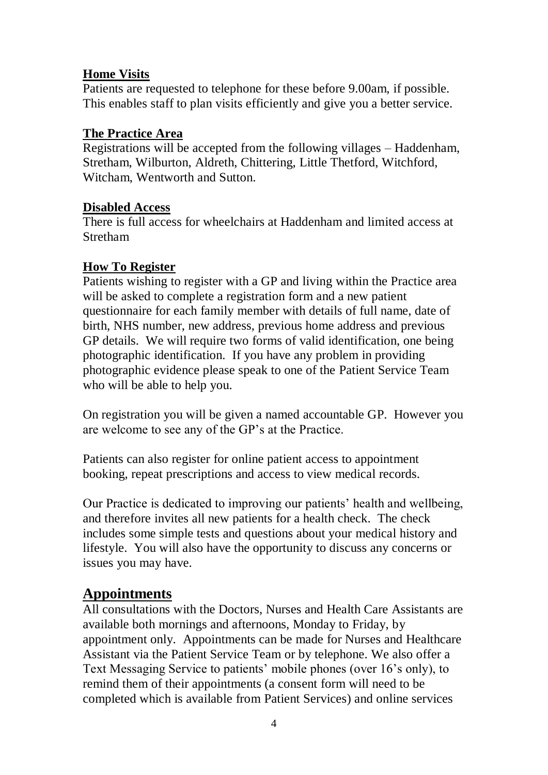## **Home Visits**

Patients are requested to telephone for these before 9.00am, if possible. This enables staff to plan visits efficiently and give you a better service.

## **The Practice Area**

Registrations will be accepted from the following villages – Haddenham, Stretham, Wilburton, Aldreth, Chittering, Little Thetford, Witchford, Witcham, Wentworth and Sutton.

## **Disabled Access**

There is full access for wheelchairs at Haddenham and limited access at Stretham

# **How To Register**

Patients wishing to register with a GP and living within the Practice area will be asked to complete a registration form and a new patient questionnaire for each family member with details of full name, date of birth, NHS number, new address, previous home address and previous GP details. We will require two forms of valid identification, one being photographic identification. If you have any problem in providing photographic evidence please speak to one of the Patient Service Team who will be able to help you.

On registration you will be given a named accountable GP. However you are welcome to see any of the GP's at the Practice.

Patients can also register for online patient access to appointment booking, repeat prescriptions and access to view medical records.

Our Practice is dedicated to improving our patients' health and wellbeing, and therefore invites all new patients for a health check. The check includes some simple tests and questions about your medical history and lifestyle. You will also have the opportunity to discuss any concerns or issues you may have.

# **Appointments**

All consultations with the Doctors, Nurses and Health Care Assistants are available both mornings and afternoons, Monday to Friday, by appointment only. Appointments can be made for Nurses and Healthcare Assistant via the Patient Service Team or by telephone. We also offer a Text Messaging Service to patients' mobile phones (over 16's only), to remind them of their appointments (a consent form will need to be completed which is available from Patient Services) and online services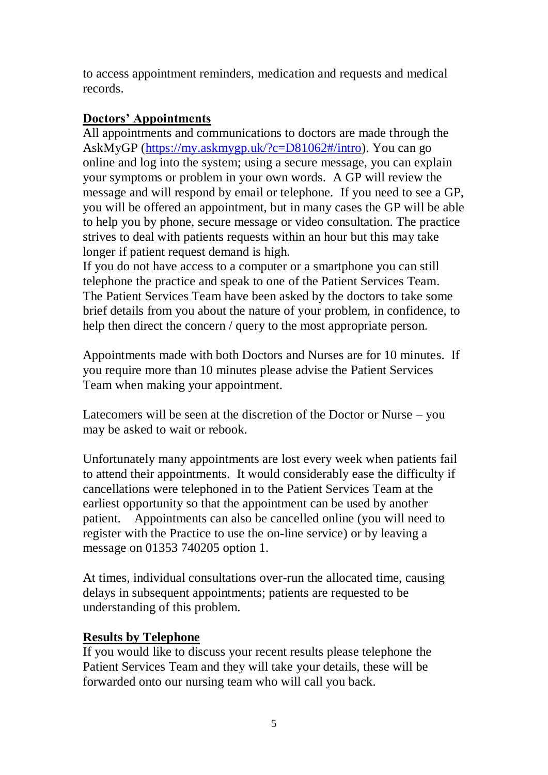to access appointment reminders, medication and requests and medical records.

#### **Doctors' Appointments**

All appointments and communications to doctors are made through the AskMyGP [\(https://my.askmygp.uk/?c=D81062#/intro\)](https://my.askmygp.uk/?c=D81062#/intro). You can go online and log into the system; using a secure message, you can explain your symptoms or problem in your own words. A GP will review the message and will respond by email or telephone. If you need to see a GP, you will be offered an appointment, but in many cases the GP will be able to help you by phone, secure message or video consultation. The practice strives to deal with patients requests within an hour but this may take longer if patient request demand is high.

If you do not have access to a computer or a smartphone you can still telephone the practice and speak to one of the Patient Services Team. The Patient Services Team have been asked by the doctors to take some brief details from you about the nature of your problem, in confidence, to help then direct the concern / query to the most appropriate person.

Appointments made with both Doctors and Nurses are for 10 minutes. If you require more than 10 minutes please advise the Patient Services Team when making your appointment.

Latecomers will be seen at the discretion of the Doctor or Nurse – you may be asked to wait or rebook.

Unfortunately many appointments are lost every week when patients fail to attend their appointments. It would considerably ease the difficulty if cancellations were telephoned in to the Patient Services Team at the earliest opportunity so that the appointment can be used by another patient. Appointments can also be cancelled online (you will need to register with the Practice to use the on-line service) or by leaving a message on 01353 740205 option 1.

At times, individual consultations over-run the allocated time, causing delays in subsequent appointments; patients are requested to be understanding of this problem.

#### **Results by Telephone**

If you would like to discuss your recent results please telephone the Patient Services Team and they will take your details, these will be forwarded onto our nursing team who will call you back.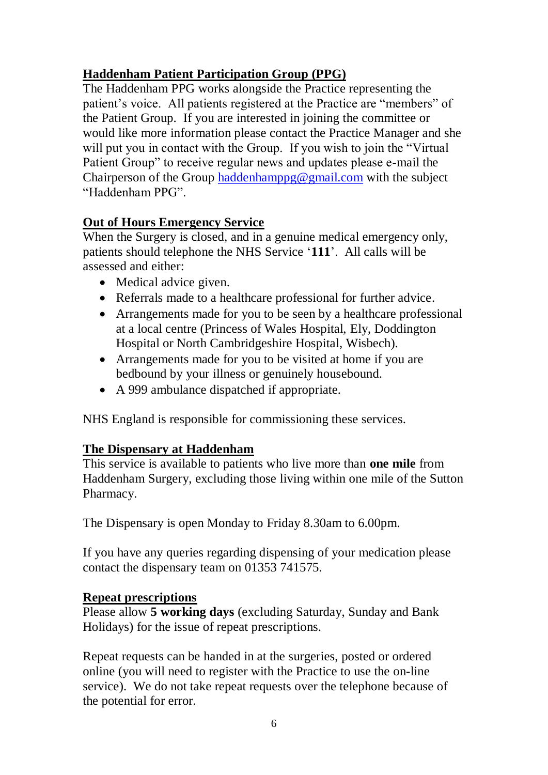# **Haddenham Patient Participation Group (PPG)**

The Haddenham PPG works alongside the Practice representing the patient's voice. All patients registered at the Practice are "members" of the Patient Group. If you are interested in joining the committee or would like more information please contact the Practice Manager and she will put you in contact with the Group. If you wish to join the "Virtual" Patient Group" to receive regular news and updates please e-mail the Chairperson of the Group [haddenhamppg@gmail.com](mailto:haddenhamppg@gmail.com) with the subject "Haddenham PPG".

# **Out of Hours Emergency Service**

When the Surgery is closed, and in a genuine medical emergency only. patients should telephone the NHS Service '**111**'. All calls will be assessed and either:

- Medical advice given.
- Referrals made to a healthcare professional for further advice.
- Arrangements made for you to be seen by a healthcare professional at a local centre (Princess of Wales Hospital, Ely, Doddington Hospital or North Cambridgeshire Hospital, Wisbech).
- Arrangements made for you to be visited at home if you are bedbound by your illness or genuinely housebound.
- A 999 ambulance dispatched if appropriate.

NHS England is responsible for commissioning these services.

#### **The Dispensary at Haddenham**

This service is available to patients who live more than **one mile** from Haddenham Surgery, excluding those living within one mile of the Sutton Pharmacy.

The Dispensary is open Monday to Friday 8.30am to 6.00pm.

If you have any queries regarding dispensing of your medication please contact the dispensary team on 01353 741575.

#### **Repeat prescriptions**

Please allow **5 working days** (excluding Saturday, Sunday and Bank Holidays) for the issue of repeat prescriptions.

Repeat requests can be handed in at the surgeries, posted or ordered online (you will need to register with the Practice to use the on-line service). We do not take repeat requests over the telephone because of the potential for error.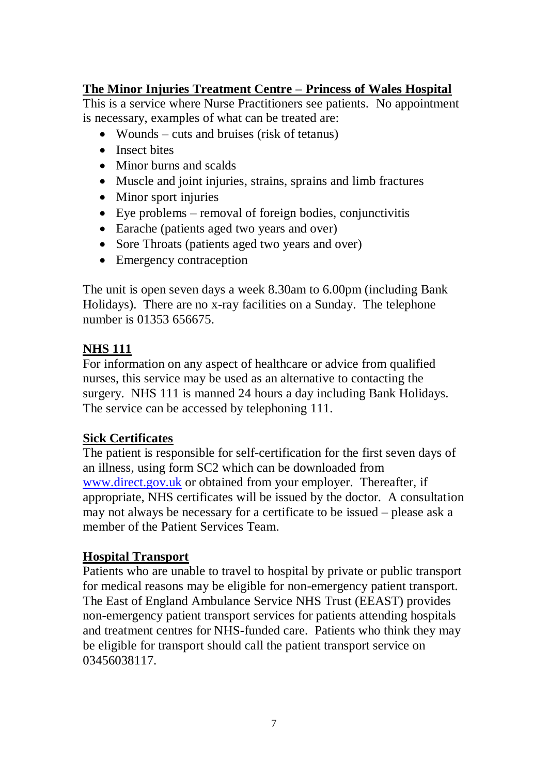# **The Minor Injuries Treatment Centre – Princess of Wales Hospital**

This is a service where Nurse Practitioners see patients. No appointment is necessary, examples of what can be treated are:

- Wounds cuts and bruises (risk of tetanus)
- Insect bites
- Minor burns and scalds
- Muscle and joint injuries, strains, sprains and limb fractures
- Minor sport injuries
- $\bullet$  Eye problems removal of foreign bodies, conjunctivitis
- Earache (patients aged two years and over)
- Sore Throats (patients aged two years and over)
- Emergency contraception

The unit is open seven days a week 8.30am to 6.00pm (including Bank Holidays). There are no x-ray facilities on a Sunday. The telephone number is 01353 656675.

# **NHS 111**

For information on any aspect of healthcare or advice from qualified nurses, this service may be used as an alternative to contacting the surgery. NHS 111 is manned 24 hours a day including Bank Holidays. The service can be accessed by telephoning 111.

# **Sick Certificates**

The patient is responsible for self-certification for the first seven days of an illness, using form SC2 which can be downloaded from [www.direct.gov.uk](http://www.direct.gov.uk/) or obtained from your employer. Thereafter, if appropriate, NHS certificates will be issued by the doctor. A consultation may not always be necessary for a certificate to be issued – please ask a member of the Patient Services Team.

# **Hospital Transport**

Patients who are unable to travel to hospital by private or public transport for medical reasons may be eligible for non-emergency patient transport. The East of England Ambulance Service NHS Trust (EEAST) provides non-emergency patient transport services for patients attending hospitals and treatment centres for NHS-funded care. Patients who think they may be eligible for transport should call the patient transport service on 03456038117.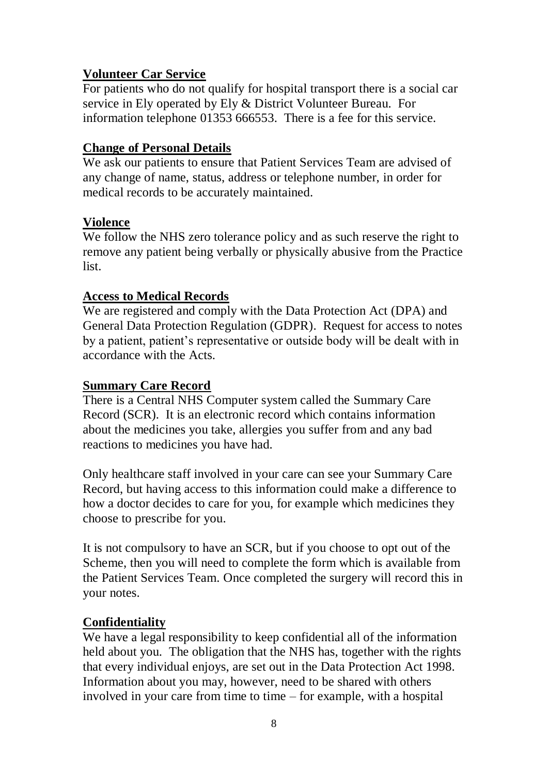## **Volunteer Car Service**

For patients who do not qualify for hospital transport there is a social car service in Ely operated by Ely & District Volunteer Bureau. For information telephone 01353 666553. There is a fee for this service.

## **Change of Personal Details**

We ask our patients to ensure that Patient Services Team are advised of any change of name, status, address or telephone number, in order for medical records to be accurately maintained.

## **Violence**

We follow the NHS zero tolerance policy and as such reserve the right to remove any patient being verbally or physically abusive from the Practice list.

## **Access to Medical Records**

We are registered and comply with the Data Protection Act (DPA) and General Data Protection Regulation (GDPR). Request for access to notes by a patient, patient's representative or outside body will be dealt with in accordance with the Acts.

#### **Summary Care Record**

There is a Central NHS Computer system called the Summary Care Record (SCR). It is an electronic record which contains information about the medicines you take, allergies you suffer from and any bad reactions to medicines you have had.

Only healthcare staff involved in your care can see your Summary Care Record, but having access to this information could make a difference to how a doctor decides to care for you, for example which medicines they choose to prescribe for you.

It is not compulsory to have an SCR, but if you choose to opt out of the Scheme, then you will need to complete the form which is available from the Patient Services Team. Once completed the surgery will record this in your notes.

# **Confidentiality**

We have a legal responsibility to keep confidential all of the information held about you. The obligation that the NHS has, together with the rights that every individual enjoys, are set out in the Data Protection Act 1998. Information about you may, however, need to be shared with others involved in your care from time to time – for example, with a hospital